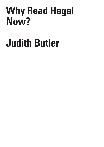## **Why Read Hegel Now?**

## **Judith Butler**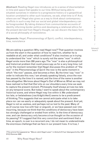**Abstract:** Reading Hegel now introduces us to a sense of disorientation in time and space that speaks to our time. Without being able to situated ourselves in relation to a progressive history or a geopolitical location unrelated to other such locations, we ask, what time is it? And, where are we? Hegel also gives us a way to think about contemporary conflicts in such a way that our social and global interdependency can be foregrounded. By taking distance from communitarian accounts of identity informing border politics and developing a relational ethics for the present derived from Hegel's thought, we can discern the basic form of a social philosophy of nonviolence.

**Keywords:** Hegel, Phenomenology of Spirit, conflict, interdependency, time, nonviolence

We are asking a question: Why read Hegel now?1 That question involves us from the start in the question of how to read him, whether he is readable at all, and under what conditions? It also involves us in trying to understand the "now" which is surely not the same "now" in which Hegel wrote more than 200 years ago. The "now" is also a philosophical and historical problem that could preoccupy us for a very long time. Let us for the moment remember that Hegel discusses this problem of "the now" in the *Phenomenology of Spirit*: the now is the same moment in which "the now" passes, and becomes a then. By the time I say "now" in order to indicate this now, I am already speaking falsely, since the now has passed by the time it is named, and the time of the name is another time altogether. We know about Hegel's Owl of Minerva. What we may not have realized is that that Owl sits on our shoulders every time we seek to capture the present moment. Philosophy itself always arrives too late on any temporal scene. But today I want to speak about the contemporary *historical* scene, and where Hegel may live within it. We understand too late, or belatedness (*nachträglichkeit*) seems to be a predicament of thinking. This suggests that we cannot anticipate what is to take place nor can we easily or adequately speak about the present. And yet, Hegel is not so useless, and perhaps not so lost to the past. Many of us of course now live with fear or anguish, or we have passed over into mourning, because we think that the conditions of democracy have been too strongly challenged or eroded from within. Is the time of democracy over, and can democracy only become a true thought on the occasion of its passing? If I suggest that this very conviction and sentiment that a time, an epoch, is over is a recurrent one, I do not mean to underestimate the enormous challenge that we face in our present lives. It is true, I

I T I Q U E /

C R I S I S & C R

Volume 8 Issue 2

<sup>1</sup> This article first appeared as "Warum Jetzt Hegel Lesen" in Zeitschrift fuer Ideengeschichte, Heff XIV/2 Sommer 2020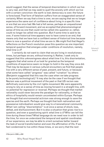would suggest, that the sense of temporal disorientation in which we live is very real, and that we may seek to quell the anxiety with which we live with a certain conviction: the earth is lost; democracy is over; the future is foreclosed. That form of fatalism suffers from an exaggerated sense of certainty. When we say that a time is over, we are saying that we no longer experience the same sort of confidence about living in a specific time or era that we once had. We had a felt sense, perhaps an unquestioned sense, of forward movement, and we accepted that phenomenological sense of time as one that could not be called into question or, rather, could no longer be called into question. But if some time is said to be over, if some historical time appears now to have come to an end, that means only that we have lost a confident sense of historical time because there is now a question of what time we are in. We might find that Hegel's reflections on the French revolution pose this question as one important temporal question that emerges under conditions of revolution, namely, *what time is it*?

I certainly do not want to claim that we are living in revolutionary times, but perhaps we are, without knowing it. Rather, I seek only to suggest that this unknowingness about what time it is, this disorientation, suggests that what some of us took for granted as the temporal conditions of experience seem no longer to hold in the way they once did. That may be because in various cultural encounters we find that people live with a very different sense of past, present, and future, or because what some have called "progress" was called "ruination" by others (Benjamin suggested that this was the case when we take progress to be purely technological).<sup>2</sup> It may also be the case if we thought that Nazism was a political movement of the past or that US racism was definitively overcome by the civil rights movement. We were apparently wrong to rely on a sense of time as moving forward in a straight line, with no potential for regression or reversal. Perhaps we thought that market rationality could never become the paradigm for rationality, or that an ethics of hospitality would remain uncontested within Europe. Perhaps we thought that environmental activism was strong enough to save the species and the earth. Perhaps we thought that both nationalism and possessive individualism would give way to a transnational community. What I am calling "disorientation" is at once a sense of shock, loss, defeat, and disillusionment. But it is also a situation that gives rise to a question, and even a questioning spirit: *what time is it?* Who can tell the time during these times? What language do we need now in order to tell the time, for once we understand the temporal and spatial coordinates of our experience, we may be able to orient ourselves better toward the task of social transformation and even the affirmation of life. If we feel condemned to live within these times, or we worry that the next

C R I S I S & C R I T I

Q U E / Volume 8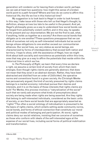generation will condemn us for leaving them a broken world, perhaps we can ask at least two questions: how might this sense of a broken world point to a path forward? Where and how do we come to affirm this historical life, the life we live in this historical time?

My suggestion is to look back to Hegel in order to look forward. In this way, I take issue with those who tell us that Hegel's thought, by definition, always arrives too late to be useful in the present. And yet, Hegel's philosophy gives us a way to understand how social bonds can be forged from potentially violent conflict, and in this way, he speaks to the present and our disorientation. We are not the first to ask, what, if anything, holds us together as a society? Are there social bonds that obligate us to one another? These questions presuppose that we can think of ourselves not only as self-interested individuals but as social beings whose obligations to one another exceed our communitarian alliances. Our social lives, our very status as social beings, are characterized by forms of interdependency that exceed both nation and territory. I hope to show, with the assistance of Hegel, how we might think about both sociality and nonviolence as potentials within this time, ones that may give us a way to affirm the potentials that reside within the historical time in which we live.

In *The Philosophy of Right*, we learn that every time we declare a right, we assume a certain kind of society from which that claim emerges. Even though rights claims are generally abstract, that does not mean that they exist in an abstract domain. Rather, they have been abstracted and distilled from an order of *Sittlichkeit*, the operative norms and conventions found in a given society. As Christoph Menke has persuasively argued, the kind of society presumed by rights claims belongs to a market economy: individual pursue their desires and interests, and it is on the basis of those interests that rights claims are built.3 For Menke, this process involves a "naturalization of the social" such that we rarely ask anymore what kinds of presumptions about society are being made when rights are being asserted. Are they rights that belong to self-interested individuals, considered as the basic units of society, or are there social bonds that are appropriately asserted as "rights"? Too often a social ontology of individualism is presumed to be the basis of rights claims, which entails setting aside community norms, social bonds, and forms of ethical connection that constitute our moral and political modes of belonging and participation. At worst, rights claims deny our social relations, insisting that we conceive of ourselves as those who conform with ideals of the self-interested egos at the expense of our social lives, including social forms of political mobilization and transformation.

I T I  $\Omega$ U E / Volume 8

C R I S I S & C R

Issue 2

<sup>3</sup> Menke 2020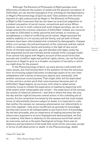Although *The Elements of Philosophy of Right* perhaps most effectively introduces the system of needs and the general conception of *Sittlichkeit*, we can see the emergence of an ontological interdependency in Hegel's *Phenomenology of Spirit* as well.4 One problem with the third element of right underscored by Hegel in *The Elements of Philosophy of Right* is that it assumes that we can base our practical judgments on a shared conception of social mores, conventions and norms. When, however, we live in multi-cultural and multi-lingual societies, we can no longer assume the common character of *Sittlichkeit*. Indeed, any recourse we make to *Sittlichkeit* is either parochial and limited, or involves us straightaway in a field of conflicting social values. Hegel assumed the relative stability of civil society and the family, and yet both of those domains have been reformulated and contested by demographic changes within civil society, the enfranchisement of the colonized, and the radical shifts in contemporary family and kinship in the light of new social forms of intimate association, gay and blended marriages, enduring and sequential social and intimate bonds outside of the conjugal model. If we cannot fully agree with Hegel's account of the social forms that precede and condition legal and political rights claims, can we find other resources in Hegel to give us a broader conception of sociality in which we might draw for the present.

In the *Phenomenology of Spirit*, we were and are confronted with many issues, but chief among them is the question of how the sensuous form of a knowing subject becomes increasingly aware of its own interrelatedness with a series of sensuous objects and, eventually, with another sensuous consciousness. That single other will be duplicated in time, and at a certain point that consciousness becomes part of *Sittlichkeit*. Hegel begins, as you know, with what is called sensecertainty, trying to initiate the experience of reading by beginning with what seems most indisputable and certain – the experience of the senses, the results of indexical reference – and that is where the here, the now, the day and the night all become central actors in this unfolding set of scenes. As the certainties furnished by the senses and the most simple forms of referentiality become subject to doubt, it is important to note that neither the senses nor sensuous phenomenon nor referentiality is ever fully negated – they prove insufficient as grounds for knowledge, but they also prove to be indispensable to any future form of knowledge. As the text proceeds, and our experience of reading becomes the site where every argument is at once displayed and demonstrated, we find, for instance, that there is obduracy to the sensuous world that cannot be overcome, just as in the early theological writings, there was an obduracy and persistence of the body that could not be overcome, except in forms of self-destruction or death. In the *Phenomenology*, death

Issue 2

C R I S I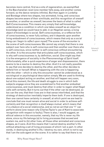becomes more central, first as a site of regeneration, as exemplified in the Bacchanalian revel (one member falls away, and another comes forward, so the dance remains infinite). But then again in Lordship and Bondage where two shapes, two animated, living, and conscious shapes become aware of their similitude, and this recognition of oneself as another, or another as oneself, becomes the basis of what is called Self-Consciousness. This means very simply that self-knowledge, understood as a condition in which one takes oneself as an object for knowledge (and we would have to add, in an Hegelian sense, a *living* object of knowledge) is social. Self-consciousness, or a reflexive form of consciousness, is never fully solitary, and it depends upon another living embodiment of consciousness, which means that *only as a social being can I begin to reflect upon myself*. The scene of the encounter is the scene of self-consciousness. We cannot say simply that there is one subject over here who is self-conscious and then another over there who is self-conscious, since neither is self-conscious without encountering the other. It is the encounter that articulates self-consciousness, which is why self-consciousness is, by definition, social. One might say that it is the emergence of sociality in the *Phenomenology of Spirit* itself. Unfortunately, after a quick experience of anger and dispossession, there seems to be a resolve to destroy the other. And it is not really possible to say that one decides to destroy the other, and the other decides to defend him or herself. What is happening with the one is happening with the other – which is why this encounter cannot be understood as a sociological or psychological description simply. We are used to thinking about one subject acting on another, and that will happen very soon, but at this moment, the life and death struggle is one in which both subjects engage since they are scandalized to find another embodied consciousness, and must destroy that other in order to regain what Hegel calls self-certainty. But it turns out that if the other can be destroyed, so too can the one, that their lives are in that sense interlinked, and that the strategy of destruction inevitably imperils them both. If one is destroyed, then one cannot have certainty in oneself, at which point we are lead to conclude that one must remain alive and social in order to achieve selfcertainty and that *recognition is itself always mutual, which means that it is a feature of a social relationship*, and so not an act that one "I" can perform alone (one reason why Charles Taylor's use of Kant to associate recognition with respect is faulty). There is also, I would suggest, an ethical valence in this encounter, namely, that my life is never my life alone, since my life belongs (a) to living processes that exceed and sustain me, and to (b) other lives, all those other animated and conscious shapes, as it were. And this means that I cannot destroy another's life without attacking a set of living processes of which I am a part. In other words, in destroying another's life, I destroy my own, which is not to say that I am the sole agent on the scene. It is rather to say that there is no

C R I S I S &

Issue 2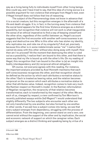way as a living being fully to individuate myself from other living beings. One could say, and I have tried to say, that this idea of a living socius is a possible argument for non-violence that emerges from Hegel's text, even if Hegel himself does not follow that line of reasoning.

The subject of the *Phenomenology* does not know in advance that it is a social creature, but this recognition emerges in the aftermath of a life and death struggle. It is, in fact, in the turning away from violence that the social bond appears for the first time. Violence emerges as a distinct possibility, but recognition that violence will not work is what inaugurates the sense of an ethical imperative to find a way of keeping oneself and the other alive, regardless of the conflict between us. Hegel's account suggests that the first encounter with another self-consciousness is an angry and destructive one. Who is this other who has stolen my identity, who replicates me, and robs me of my singularity? And yet, precisely because this other is in some indeterminate sense "me" I realize that I cannot do away with this other without also doing away with myself. How then am I to proceed? At the moment that destroying the other is ruled out as a possibility, I realize that I am bound to this other, and that there is some way that my life is bound up with the other's life. On my reading of Hegel, this recognition that I am bound to the other is (a) an insight into bodily interdependency and (b) reciprocal ethical obligation.

Of course, not everyone agrees with this reading. For instance, the important analysis provided by Axel Honneth maintains that each self-consciousness recognizes the other, and that recognition should be defined as the action by which each attributes a normative status to the other.<sup>5</sup> Each is treated as bearing value, and the relation becomes reciprocal on the occasion which each attributes a normative status to other that attributes value. Indeed, recognition comes to look very much like Kantian respect on Honneth's model. In the Kantian reformulation of Hegelian recognition, the reciprocity of that relation becomes transformative; each is transformed by the respect of the other. We are, each of us, changed by respect, a view confirmed by Toni Morrison's recently published essays entitle *Self-Regard*. 6 I would understand that slightly differently. The two subjects who encounter each other are not only transformed by one another, but also formed by one another. In other words, if we ask how a subject comes into being, we see that every subject emerges from dependency, struggling with the process of differentiation. From the beginning, one cannot stand on one's own; one cannot exist without the support of the other and by implication, the social and economic network of support on which the caregiver relies. Each subject emerges as a distinct thinking and speaking being by virtue of a

5 Honneth 1996

6 Morrison 2020

Issue 2

C R I S I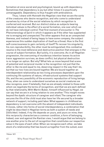formation at once social and psychological, bound up with dependency. Sometimes that dependency is joy but other times it is psychically unmanageable. Dependency is thus fraught with ambivalence.

Thus, I share with Honneth the Hegelian view that we are the sorts of the creatures who desire recognition, and who come to understand ourselves by virtue of the social relations by which recognition is conferred and received. But our distinct status as subjects bearing individual values is the effect of a social formation, one over which we do not have individual control. That first moment of encounter in *The Phenomenology of Spirit* in which it appears as if the other has supplanted me is enraging and unexpected. The other appears first as an unexpected likeness, and instead of being happy to have some company, the subject experiences this sudden duplication of itself as a threat. How is the first self-consciousness to gain certainty of itself? To recover his singularity, his non-reproducibility, the other must be extinguished; this combative resolve is the most defensive and destructive position that emerges in the course of subject formation. But luckily, it is overcome. As in all Hegelian progression, the overcoming of murderous intention leaves its active trace: aggression survives, as does conflict, but physical destruction is no longer an option. But why? What lets us move beyond that scene of potential and reciprocal murder is the recognition not just that the other is like me and equal to me, deserving respect in the way that I do, but that our two lives are bound together. We are bound together an interdependent relationship as two living processes dependent upon the continuing life systems of nature, infrastructural systems that support life, and the very possibility of the economic reproduction of living beings. Thus, when we come to understand ourselves as social creatures we also recognize, even if belatedly, that we are already related to those with whom we negotiate the terms of recognition, and that we are each defined by that relationality. With Martin Buber, himself influenced by Hegel, we can say that we are in a living relation to one another.7 This insight moves beyond the dyadic structure of caregiver and infant. The caregiver who secures the life of the child must also have her life secured by a broader network of support, including paid labor. What appears in childhood as dependency is not overcome with the advent of independent individuals. It moves, rather into forms of social interdependency, a combination that might be described in Hegelian terms as both a system of needs and *Sittlichkeit*. Indeed, if my life depends on yours, and yours on mine, then this reciprocity characterizes a common condition, a form of belonging. Indeed, over and against the Kantian view, I would argue that we belong to one another prior to the act of recognition that constitutes our respective value in the eyes of each other. When we recognize each other, we take stock of a relationship that has bound us together from the outset, even

& C R I T I Q U E / Volume 8

C R I S I S

Issue 2

7 Buber 1971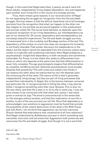though, in the scene that Hegel describes, it seems we each were fullblown adults, independently living shapes (*Gestalten*), who just happened upon another such living form in the course of a strange journey.

 Thus, there remain good reasons in our reconstruction of Hegel for not separating the struggle for recognition from the life and death struggle. One key reason is that the ethical imperative not to kill emerges precisely from the recognition that what can happen to the other can also happen to me and that we are bound together in this predicament and process called life. The social bond between us depends upon this reciprocal recognition of our living dependency, our interdependency as part of our shared life. Of course, dependency and interdependency are not always beautiful experiences. The life and death struggle survives in transmuted form in the Lordship and Bondage section of the text. The dependency of the worker on a lord who does not recognize his humanity is not finally tolerable. That worker discovers his independence in the object, but the object cannot be separated from the economy unless every worker is a radically self-sustaining individual. Here Hegel prefigures a psychoanalytic insight that dependency is both necessary and sometimes intolerable. For Freud, it is the infant who seeks to differentiate from those on which she depends at the same time that that differentiation is never fully complete. The ego psychologists imagine that differentiation as complete, but Winnicott and relational psychoanalysis more broadly disputes that possibility.8 The self-conscious subject who thinks it can destroy the other does not realize that its own life depends upon the continuing life of the other. The nature of life is that it generates independently living beings, but they are part of living processes that exceed their individuality. In Hegel, this is the tension between universal and particular life. In recognizing that in killing the other I may also be killed, I recognize something more than mere likeness. This is also my life over there, and that life is also in or of my life in some way. I may not have chosen to be connected with that other and, surely, I was never given a contract to sign. The bond is precontractual in the sense that no life emerges without another, and that this implication of one life in another is part of the very process we call life. Once that dependency is acknowledged, new solutions to aggression must be found that exclude the possibility of the violent destruction of the other's life. With Freud, and with Klein, I do not think that aggression can be fully overcome (Freud claimed that ambivalence was constitutive of all love relations).9 And Hegel understood by *Aufhebung* a process in which something was cancelled, overcome, and yet preserved. Aggression both preserves and overcomes the life and death struggle. And though it is not a word that

/ Volume 8

Issue 2

C R I S I S & C R I T I Q U E

8 Mitchell 1988

9 See Butler 2020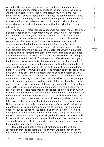we find in Hegel, we can discern its trace in the continuing struggle of the bondsman, and the internal conflicts of the ascetic and the skeptic. An ethical imperative emerges here that is, in my view, more robust than respect. It does no less than reformulate the commandment, "Thou Shalt Not Kill". Ethically, we are all under an obligation to find modes of expression that are not destructive, to cultivate ethical practices that acknowledge and work with aggression without allowing its conversion into violence.

The theme of interdependency becomes explicit in the Lordship and Bondage section of *The Phenomenology of Spirit*. I will not reconstruct that encounter in detail, but I draw attention to that section because indirectly it introduces an economic dimension to social life and, as we know, provides one model for Marx as he seeks to understand exploitation and hold out hope for emancipation. Hegel's Lordship and Bondage describes a feudal relation, and yet some aspects of the analysis anticipate Marx's account of alienated labor within industrial societies. You will remember that the bondsman is treated as an object and yet finds himself working on an object. Is he the same kind of object as the one on which he works? In the process of working on the object, the bondsman sees the effects of his own labor on the object, and his self-consciousness emerges in the course of making that recognition. It was doubtless terrible to be an object, and yet only by existing outside himself in external form was he able to see himself, and to recognize that he is something other than the object that he sees. His object bears a human trace. As a body that labors, the body also bears the trace of the object, a shape among shapes in the phenomenal world. It is tempting to resort to an anthropocentric reading and to claim "ah, the object is now nothing more than an extension of the subject, a projection of the subject, and whatever is deemed valuable in the object is the result of human labor. But the object is more than the repository or expression of human freedom or labor. The human dependency on the object is insuperable, for the object can be nourishment or it can be the stuff from which shelter is made, or shoes, or machines that let us breathe or, indeed, the entire infrastructural apparatus without which human life cannot be sustained. Self-consciousness is only possible *within an object world*, and without objects, none of us could know ourselves as humans. They are not our opposite, but our supports, the conditions of our existence. The slave emerges from enslavement within a social world of objects, and if he seeks to rid himself of the object-world, or his/her own status as a body in the world, that denial cannot be sustained. Asceticism has its allure, especially for a subject who comes to experience his separateness from the object as a terrifying freedom.

Hegel tells us that this fear and trembling coincides with the recognition that the bondsman is free or, rather, that his labour can and has become the means through which he can achieve his independence Issue 2

C R I S I

49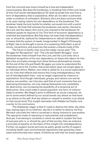from the Lord and even know himself as a free and independent consciousness. But does the bondsman, in breaking free of the Lord, break of free of all social interdependency? Or does he break free only from a form of dependency that is exploitative. After all, his labor is extracted under a condition of unfreedom. Similarly, the Lord does not know what to do upon seeing clearly his own dependency on the bondsman. The bondman feeds the lord, builds his shelter, surrounds him with a world of objects. He finds that whereas the bondsman was earlier chained to the Lord, and the object, the Lord is now chained to the bondsman for whatever goods he requires to live. This form of economic dependency is wretched and exploitative. But that does not mean that interdependency can, or should be, replaced by independence or radical individualism. It means that the system of needs, foregrounded in Hegel's *Philosophy of Right*, has to be thought in terms of a sustaining *Sittlichkeit*, a set of norms, conventions, and practices that sustain a shared mode of life.

The future is hardly clear once the reader moves past "The Struggle for Recognition" and "The Life and Death Struggle," once the bondsman frees himself from the Lord, and the Lord sinks into a defeated recognition of his own dependency on those who labour for him. But a few principles emerge from these famous philosophical scenes. At the end of the Life and Death Struggle, we come to understand the imperative not to kill. Further, that proscription does not simply apply to an individual ethics. Rather, now what is called for is a *social organization* for our lives that reflects and honors this living interdependency, this set of interdependent lives – one no longer organized by violence or exploitation. And though individuals, groups, and nations can and do destroy one another, can it be also said that at such moments they are destroying themselves, not only making themselves into candidates for destruction, but increasing the possibility of a reciprocal act of destruction. One could make a causal argument: one form of violence leads to another. But Hegel's point is different: as social creatures, we are to some extent defined by our social bonds: any attack on that bond is an attack on the self. And any attack on oneself or another is an attack on that social bond. This insight resonates with Hobbes but finally runs counter to his conclusions.

The Hobbesian wager is that if I seek to destroy the other, the other may, seeing signs of my intention, decide it is better to destroy me first. We each calculate the risks to ourselves in doing violence to one another. The operative mode of reasoning is instrumental, and probabilistic. And yet, if we belong to societies in which we seek to sustain the lives of everyone who is, or should be, part of that society, then we embrace a principle of equality on the basis of this insight into interdependency. Further, we support social services as public goods worthy of support, including health care, environmental regulations that guarantee clean water and eliminate toxic waste. It follows as well that we would oppose

/ Volume 8 Issue 2

C R I S I S & C R I T I Q U E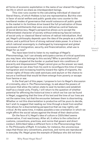all forms of economic exploitation in the name of our shared life together, the life in which we share as interdependent beings.

This view runs counter to the calculating individual of classical liberal theory, of which Hobbes is but one representative. But this view in favor of social welfare and public goods also runs counter to the neoliberal modes of governance that would outsource all public goods to the market in its limitless drive toward the full privatization of those goods and entitlements that were once defined as central features of social democracy. Hegel's perspective allows us to accept the differentiated character of society without embracing fascist notions of social unity or classical liberal notions of radical individualism. And yet, Hegel's philosophy depends upon the idea of the people as a unified nation, and a political form of strong national state power. In a time in which national sovereignty is challenged by transregional and global processes of immigration, security, and financialization, what use is Hegel for us now?

You have been kind to listen to my readings of Hegel's *Phenomenology*, but I can already anticipate a series of critical questions you may have: who belongs to this society? Who is permitted entry? And who is stopped at the border or pushed back into conditions of precarity and dispossession? Hegel cannot give us the answer we need, but perhaps we can draw from his work to reconfigure this time of mass immigration and increasing hostility toward the rights of migrants, the human rights of those who seek sanctuary and asylum or the chance to secure a livelihood that would let them emerge from poverty or escape from famine or war.

In the final part of this paper, I propose to turn to Hegel's discussion of criminality, also in *The Phenomenology*, to ask about the powers of exclusion that allow the nation-state to seal its borders and establish itself as a closed unity. Finally, I will return to the question of whether potential for affirming the historical time in which we live can be found in Hegel, suggesting that the time of his text and the time of our lives are not the same time, but that the encounter between them is disorienting. Whether or not this disorientation is productive will be yours to decide, but I wish to suggest that reading our time through a book from another time allows for a disorientating perspective that we may rightly call *critical*. At the same time, it makes possible a new orientation in which we might affirm the social values against the threat of their destruction.

On the face of it, Hegel's idea of culture or *Sittlichkeit* seems conservative, if not reactionary. After all, it refers to the collection of customs, conventions, practices, and norms that govern and direct conduct. *Sittlichkeit* takes a different form in the *Phenomenology* than in *The Philosophy of Right*. It includes, for instance, the unconscious ways that those very conventions, practices, and norms are reproduced in everyday life. Hegel gives the example of Oedipus who did not know

C R I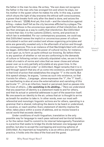the father in the man he slew. He writes, "the son does not recognize the father in the man who has wronged him and whom he slays, nor his mother in the queen whom he makes his wife. In this way, a power which shuns the light of day ensnares the ethical self-consciousness, a power that breaks forth only after the deed is done, and seizes the doer in the act. "(E238) And yet, this truth – and the interdiction against killing – makes itself felt as the city becomes afflicted by a plague. The guilt that follows is the unconscious operation of that interdiction. And law then emerges as a way to codify that interdiction. But *Sittlichkeit* is more than law; it is the customs (*Sitten*), norms, and practices in which law is embedded. For our contemporary purposes, we could say that *Sittlichkeit* names the implicit or unconscious power of culture articulated in action and conduct and whose organizing principles and aims are generally revealed only in the aftermath of action and through its consequences. This is an instance of that *Nachträglichkeit* with which we began. *Sittlichkeit* names the power of cultural norms, for instance, to act upon us, to form us quite without our knowing. So before there is any question of whether or not we are conforming to the demands of culture or following certain culturally stipulated rules, we are in the midst of a matrix of norms and rules that we never chose and whose power over us is only partially articulable at any given time. In the section on "the ethical order" or *Sittlichkeit*, Hegel remarks that it is in and through speech that any of us come into existence, and that speech is that kind of action that establishes the singular "I" in the world. But this speech always, he argues, "comes as such into existence, so that it exists for others….Language…alone expresses the "I", the "I" itself… its manifesting is also at once the externalization and vanishing of *this* particular "I"…(it is an infection, heard or perceived, [and so passes into the lives of others..,] **its vanishing is its abiding…**" Here we understand that any assertion of identity is a statement made to and for others, and that its actual or potential addressee is part of the assertion itself. No one asserts an identity to the air, unless that air is thought to arrive as breath for another to take in. In other words, even our most selfreferential and monologic linguistic actions are for others, operating in a grammar that is shared, indicating the desire to be heard or understood, to vocalize, or reach another. Every statement of identity implies the other, takes place within a scene of address, and so moves toward a social world that exceeds identity.

Under conditions of multi-lingualism, translation is the only possible way for language to reach pass national and territorial border, or for the nation itself to commit to its internal heterogeneity. Translation is a practice that seeks to bridge the divide between one language and another, but also to accept the overlapping and evolving spheres of *Sittlichkeit.* As important as hospitality is as an ethics and a political practice, it holds onto the idea of the host and the guest.

& C R I T I Q U E / Volume 8

C R I S I S

Issue 2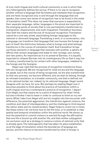A truly multi-lingual and multi-cultural community is one in which that very heterogeneity defines the socius. If there is no way to recognize another without a language that facilitates and mediates that recognition, and one feels recognized only in and through the language that one speaks, then some new sense of recognition has to be found in the midst of translation itself. This does not mean that everyone is separated by their separate language; rather, languages in the plural are important to the emerging sense of society that is now permanently transformed my immigration, displacement, and multi-lingualism. Translation becomes then both the means and the end of reciprocal recognition. Translation cannot be a one-way street, assimilating foreign languages to the national or dominant language. Translating a work, or a conversation, into a language can transform that language that now houses the foreign as part of itself; the distinction between what is foreign and what belongs transforms in the course of translation itself. And translation brings out those elements in language that resonate with another, a sphere of affinity that renews languages and leads to new coinage, new syntax, and new poetry. As important as it is to preserve German, it is equally important to release German into its contemporary life so that it may live in history, transformed by its contact with other languages, indebted to the foreign and the foreigner.

Hegel was right that the process of recognition transforms those who are recognized. We are recognized for what we are and the language we speak, but in the course of being recognized, we are also transformed by that very process: we become different, and we start to belong, through an intimate translation, to a broader community, one that is defined not by its national border nor, indeed, by its national language. Hegel would disagree with me here, for sure. But perhaps by reading Hegel now it becomes possible to think about the practice of translation within a multi-lingual word as a contemporary practice of recognition. I depart from Hegel, but that means he is a point of departure for what I think, but also a thinker I had to leave in order to continue to think on my own terms. What I take from Hegel still are his insights into the encounter with difference, the potential aggression, the interdiction against violence, the condition and ideal of interdependency, and the challenge to think beyond the nation state and its closed borders. Hegel helps to orient me in times like these where I do not know how to tell the time, or to establish a clear spatial and temporal orientation within the political world. He shows us how the potential to commit violence is averted through the affirmation that one life is bound up with another life, and that neither subjugation nor exclusion work as a strategy to restore a notion of national unity that is already gone. The heterogeneity that has taken its place establishes us at the edge of translation where the boundaries of language are porous, and the chance to become transformed by what is foreign is

S I S & C R I T I Q U E / Volume 8

C R I

Issue 2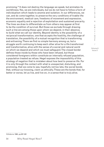promising.10 It does not destroy the language we speak, but animates its worldliness. Yes, we are individuals, but we do not have to follow a form of individualism which leads to anomie and isolation. In our differences, we can, and do come together, to preserve the very conditions of livable life: the environment, medical care, freedoms of movement and expression, economic equality and a rejection of exploitation and sustained precarity. The lines we draw to differentiate us from others may appear at first to be the condition of survival. But those we exclude through drawing such a line are among those upon whom we depend, in their absence, to build what we call our identity. Beyond identity is the possibility of a reciprocal transformation, one that accepts the hostility, the challenge of translation, the possibility of a mutual recognition that is transforming and enlivening. There we find no simple harmony among us, but a struggle worth continuing to keep each other alive for a life transformed and transformative, alive with the sense of a social and natural world on which we depend and which we must safeguard. The closed border defines those inside by those who have been refused, but those considered foreigners within constitute an internally refused population, a population treated as refuse. Hegel exposes the impossibility of this strategy of negation that is mistaken about how best to preserve life. For it is only through the contact with what is unexpected, disturbing, and promising, that we come to see, hopefully not too late, the social bonds that, without our knowing, claim us ethically. These are the bonds that, for better or worse, let us live, and live on, in a sense that is truly alive.

C R I S I S

<sup>&</sup>amp; C R I T I Q  $\cup$ E / Volume 8

Issue 2

<sup>10</sup> Adorno 1992, pp.287-291